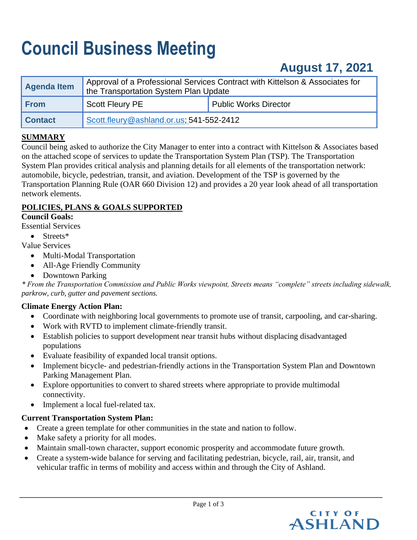# **Council Business Meeting**

## **August 17, 2021**

| <b>Agenda Item</b> | Approval of a Professional Services Contract with Kittelson & Associates for<br>the Transportation System Plan Update |                              |
|--------------------|-----------------------------------------------------------------------------------------------------------------------|------------------------------|
| <b>From</b>        | <b>Scott Fleury PE</b>                                                                                                | <b>Public Works Director</b> |
| <b>Contact</b>     | Scott.fleury@ashland.or.us; 541-552-2412                                                                              |                              |

## **SUMMARY**

Council being asked to authorize the City Manager to enter into a contract with Kittelson & Associates based on the attached scope of services to update the Transportation System Plan (TSP). The Transportation System Plan provides critical analysis and planning details for all elements of the transportation network: automobile, bicycle, pedestrian, transit, and aviation. Development of the TSP is governed by the Transportation Planning Rule (OAR 660 Division 12) and provides a 20 year look ahead of all transportation network elements.

## **POLICIES, PLANS & GOALS SUPPORTED**

## **Council Goals:**

Essential Services

- Streets\*
- Value Services
	- Multi-Modal Transportation
	- All-Age Friendly Community
	- Downtown Parking

*\* From the Transportation Commission and Public Works viewpoint, Streets means "complete" streets including sidewalk, parkrow, curb, gutter and pavement sections.* 

## **Climate Energy Action Plan:**

- Coordinate with neighboring local governments to promote use of transit, carpooling, and car-sharing.
- Work with RVTD to implement climate-friendly transit.
- Establish policies to support development near transit hubs without displacing disadvantaged populations.
- Evaluate feasibility of expanded local transit options.
- Implement bicycle- and pedestrian-friendly actions in the Transportation System Plan and Downtown Parking Management Plan.
- Explore opportunities to convert to shared streets where appropriate to provide multimodal connectivity.
- Implement a local fuel-related tax.

## **Current Transportation System Plan:**

- Create a green template for other communities in the state and nation to follow.
- Make safety a priority for all modes.
- Maintain small-town character, support economic prosperity and accommodate future growth.
- Create a system-wide balance for serving and facilitating pedestrian, bicycle, rail, air, transit, and vehicular traffic in terms of mobility and access within and through the City of Ashland.

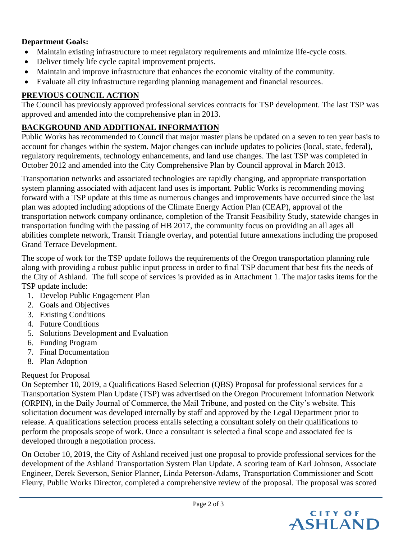## **Department Goals:**

- Maintain existing infrastructure to meet regulatory requirements and minimize life-cycle costs.
- Deliver timely life cycle capital improvement projects.
- Maintain and improve infrastructure that enhances the economic vitality of the community.
- Evaluate all city infrastructure regarding planning management and financial resources.

## **PREVIOUS COUNCIL ACTION**

The Council has previously approved professional services contracts for TSP development. The last TSP was approved and amended into the comprehensive plan in 2013.

## **BACKGROUND AND ADDITIONAL INFORMATION**

Public Works has recommended to Council that major master plans be updated on a seven to ten year basis to account for changes within the system. Major changes can include updates to policies (local, state, federal), regulatory requirements, technology enhancements, and land use changes. The last TSP was completed in October 2012 and amended into the City Comprehensive Plan by Council approval in March 2013.

Transportation networks and associated technologies are rapidly changing, and appropriate transportation system planning associated with adjacent land uses is important. Public Works is recommending moving forward with a TSP update at this time as numerous changes and improvements have occurred since the last plan was adopted including adoptions of the Climate Energy Action Plan (CEAP), approval of the transportation network company ordinance, completion of the Transit Feasibility Study, statewide changes in transportation funding with the passing of HB 2017, the community focus on providing an all ages all abilities complete network, Transit Triangle overlay, and potential future annexations including the proposed Grand Terrace Development.

The scope of work for the TSP update follows the requirements of the Oregon transportation planning rule along with providing a robust public input process in order to final TSP document that best fits the needs of the City of Ashland. The full scope of services is provided as in Attachment 1. The major tasks items for the TSP update include:

- 1. Develop Public Engagement Plan
- 2. Goals and Objectives
- 3. Existing Conditions
- 4. Future Conditions
- 5. Solutions Development and Evaluation
- 6. Funding Program
- 7. Final Documentation
- 8. Plan Adoption

## Request for Proposal

On September 10, 2019, a Qualifications Based Selection (QBS) Proposal for professional services for a Transportation System Plan Update (TSP) was advertised on the Oregon Procurement Information Network (ORPIN), in the Daily Journal of Commerce, the Mail Tribune, and posted on the City's website. This solicitation document was developed internally by staff and approved by the Legal Department prior to release. A qualifications selection process entails selecting a consultant solely on their qualifications to perform the proposals scope of work. Once a consultant is selected a final scope and associated fee is developed through a negotiation process.

On October 10, 2019, the City of Ashland received just one proposal to provide professional services for the development of the Ashland Transportation System Plan Update. A scoring team of Karl Johnson, Associate Engineer, Derek Severson, Senior Planner, Linda Peterson-Adams, Transportation Commissioner and Scott Fleury, Public Works Director, completed a comprehensive review of the proposal. The proposal was scored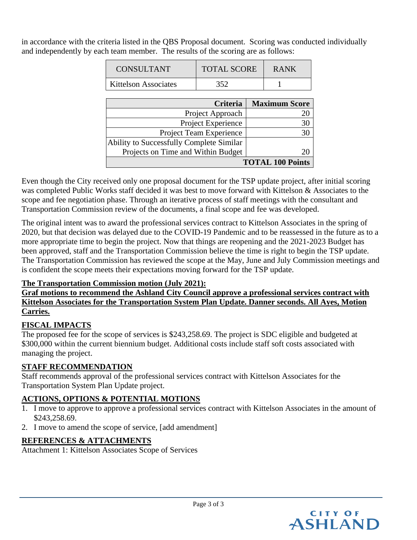in accordance with the criteria listed in the QBS Proposal document. Scoring was conducted individually and independently by each team member. The results of the scoring are as follows:

| CONSULTANT           | <b>TOTAL SCORE</b> | <b>RANK</b> |
|----------------------|--------------------|-------------|
| Kittelson Associates | 352                |             |

| Criteria                                 | <b>Maximum Score</b> |  |
|------------------------------------------|----------------------|--|
| Project Approach                         |                      |  |
| Project Experience                       |                      |  |
| Project Team Experience                  |                      |  |
| Ability to Successfully Complete Similar |                      |  |
| Projects on Time and Within Budget       |                      |  |
| <b>TOTAL 100 Points</b>                  |                      |  |

Even though the City received only one proposal document for the TSP update project, after initial scoring was completed Public Works staff decided it was best to move forward with Kittelson & Associates to the scope and fee negotiation phase. Through an iterative process of staff meetings with the consultant and Transportation Commission review of the documents, a final scope and fee was developed.

The original intent was to award the professional services contract to Kittelson Associates in the spring of 2020, but that decision was delayed due to the COVID-19 Pandemic and to be reassessed in the future as to a more appropriate time to begin the project. Now that things are reopening and the 2021-2023 Budget has been approved, staff and the Transportation Commission believe the time is right to begin the TSP update. The Transportation Commission has reviewed the scope at the May, June and July Commission meetings and is confident the scope meets their expectations moving forward for the TSP update.

## **The Transportation Commission motion (July 2021):**

## **Graf motions to recommend the Ashland City Council approve a professional services contract with Kittelson Associates for the Transportation System Plan Update. Danner seconds. All Ayes, Motion Carries.**

## **FISCAL IMPACTS**

The proposed fee for the scope of services is \$243,258.69. The project is SDC eligible and budgeted at \$300,000 within the current biennium budget. Additional costs include staff soft costs associated with managing the project.

## **STAFF RECOMMENDATION**

Staff recommends approval of the professional services contract with Kittelson Associates for the Transportation System Plan Update project.

## **ACTIONS, OPTIONS & POTENTIAL MOTIONS**

- 1. I move to approve to approve a professional services contract with Kittelson Associates in the amount of \$243,258.69.
- 2. I move to amend the scope of service, [add amendment]

## **REFERENCES & ATTACHMENTS**

Attachment 1: Kittelson Associates Scope of Services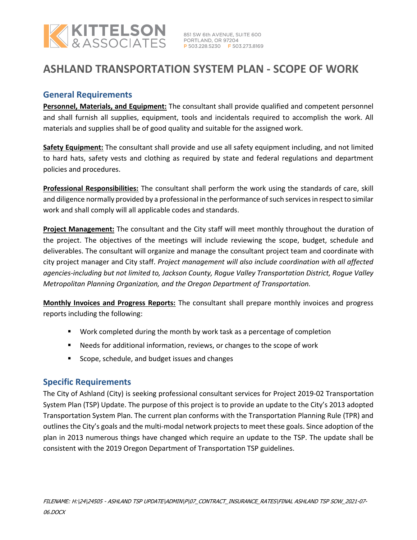

## **ASHLAND TRANSPORTATION SYSTEM PLAN - SCOPE OF WORK**

## **General Requirements**

**Personnel, Materials, and Equipment:** The consultant shall provide qualified and competent personnel and shall furnish all supplies, equipment, tools and incidentals required to accomplish the work. All materials and supplies shall be of good quality and suitable for the assigned work.

**Safety Equipment:** The consultant shall provide and use all safety equipment including, and not limited to hard hats, safety vests and clothing as required by state and federal regulations and department policies and procedures.

**Professional Responsibilities:** The consultant shall perform the work using the standards of care, skill and diligence normally provided by a professional in the performance of such services in respect to similar work and shall comply will all applicable codes and standards.

**Project Management:** The consultant and the City staff will meet monthly throughout the duration of the project. The objectives of the meetings will include reviewing the scope, budget, schedule and deliverables. The consultant will organize and manage the consultant project team and coordinate with city project manager and City staff. *Project management will also include coordination with all affected agencies‐including but not limited to, Jackson County, Rogue Valley Transportation District, Rogue Valley Metropolitan Planning Organization, and the Oregon Department of Transportation.*

**Monthly Invoices and Progress Reports:** The consultant shall prepare monthly invoices and progress reports including the following:

- Work completed during the month by work task as a percentage of completion
- Needs for additional information, reviews, or changes to the scope of work
- Scope, schedule, and budget issues and changes

## **Specific Requirements**

The City of Ashland (City) is seeking professional consultant services for Project 2019‐02 Transportation System Plan (TSP) Update. The purpose of this project is to provide an update to the City's 2013 adopted Transportation System Plan. The current plan conforms with the Transportation Planning Rule (TPR) and outlines the City's goals and the multi-modal network projects to meet these goals. Since adoption of the plan in 2013 numerous things have changed which require an update to the TSP. The update shall be consistent with the 2019 Oregon Department of Transportation TSP guidelines.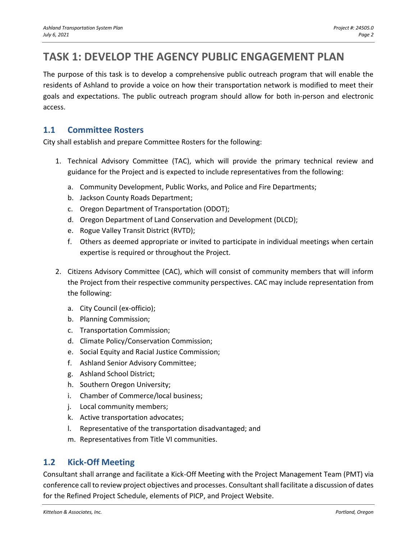## **TASK 1: DEVELOP THE AGENCY PUBLIC ENGAGEMENT PLAN**

The purpose of this task is to develop a comprehensive public outreach program that will enable the residents of Ashland to provide a voice on how their transportation network is modified to meet their goals and expectations. The public outreach program should allow for both in-person and electronic access.

## **1.1 Committee Rosters**

City shall establish and prepare Committee Rosters for the following:

- 1. Technical Advisory Committee (TAC), which will provide the primary technical review and guidance for the Project and is expected to include representatives from the following:
	- a. Community Development, Public Works, and Police and Fire Departments;
	- b. Jackson County Roads Department;
	- c. Oregon Department of Transportation (ODOT);
	- d. Oregon Department of Land Conservation and Development (DLCD);
	- e. Rogue Valley Transit District (RVTD);
	- f. Others as deemed appropriate or invited to participate in individual meetings when certain expertise is required or throughout the Project.
- 2. Citizens Advisory Committee (CAC), which will consist of community members that will inform the Project from their respective community perspectives. CAC may include representation from the following:
	- a. City Council (ex-officio);
	- b. Planning Commission;
	- c. Transportation Commission;
	- d. Climate Policy/Conservation Commission;
	- e. Social Equity and Racial Justice Commission;
	- f. Ashland Senior Advisory Committee;
	- g. Ashland School District;
	- h. Southern Oregon University;
	- i. Chamber of Commerce/local business;
	- j. Local community members;
	- k. Active transportation advocates;
	- l. Representative of the transportation disadvantaged; and
	- m. Representatives from Title VI communities.

## **1.2 Kick-Off Meeting**

Consultant shall arrange and facilitate a Kick-Off Meeting with the Project Management Team (PMT) via conference call to review project objectives and processes. Consultant shall facilitate a discussion of dates for the Refined Project Schedule, elements of PICP, and Project Website.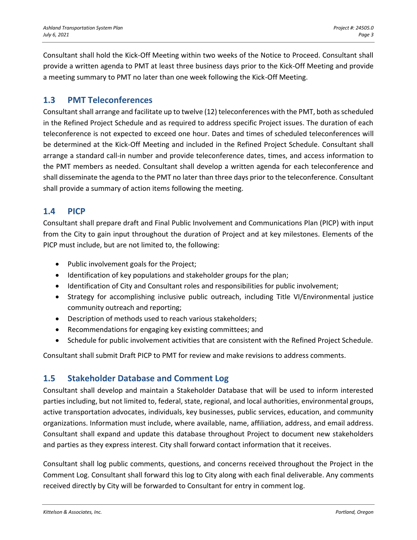Consultant shall hold the Kick-Off Meeting within two weeks of the Notice to Proceed. Consultant shall provide a written agenda to PMT at least three business days prior to the Kick-Off Meeting and provide a meeting summary to PMT no later than one week following the Kick-Off Meeting.

## **1.3 PMT Teleconferences**

Consultant shall arrange and facilitate up to twelve (12) teleconferences with the PMT, both as scheduled in the Refined Project Schedule and as required to address specific Project issues. The duration of each teleconference is not expected to exceed one hour. Dates and times of scheduled teleconferences will be determined at the Kick-Off Meeting and included in the Refined Project Schedule. Consultant shall arrange a standard call-in number and provide teleconference dates, times, and access information to the PMT members as needed. Consultant shall develop a written agenda for each teleconference and shall disseminate the agenda to the PMT no later than three days prior to the teleconference. Consultant shall provide a summary of action items following the meeting.

## **1.4 PICP**

Consultant shall prepare draft and Final Public Involvement and Communications Plan (PICP) with input from the City to gain input throughout the duration of Project and at key milestones. Elements of the PICP must include, but are not limited to, the following:

- Public involvement goals for the Project;
- Identification of key populations and stakeholder groups for the plan;
- Identification of City and Consultant roles and responsibilities for public involvement;
- Strategy for accomplishing inclusive public outreach, including Title VI/Environmental justice community outreach and reporting;
- Description of methods used to reach various stakeholders;
- Recommendations for engaging key existing committees; and
- Schedule for public involvement activities that are consistent with the Refined Project Schedule.

Consultant shall submit Draft PICP to PMT for review and make revisions to address comments.

## **1.5 Stakeholder Database and Comment Log**

Consultant shall develop and maintain a Stakeholder Database that will be used to inform interested parties including, but not limited to, federal, state, regional, and local authorities, environmental groups, active transportation advocates, individuals, key businesses, public services, education, and community organizations. Information must include, where available, name, affiliation, address, and email address. Consultant shall expand and update this database throughout Project to document new stakeholders and parties as they express interest. City shall forward contact information that it receives.

Consultant shall log public comments, questions, and concerns received throughout the Project in the Comment Log. Consultant shall forward this log to City along with each final deliverable. Any comments received directly by City will be forwarded to Consultant for entry in comment log.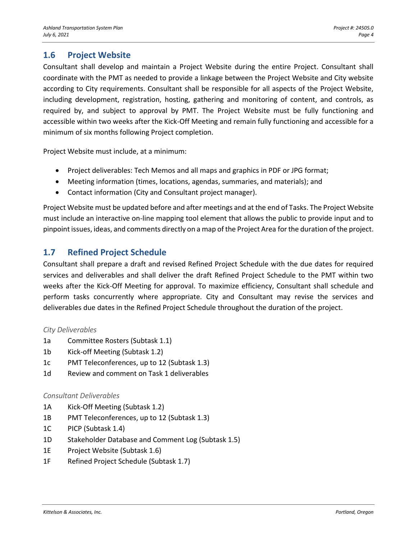## **1.6 Project Website**

Consultant shall develop and maintain a Project Website during the entire Project. Consultant shall coordinate with the PMT as needed to provide a linkage between the Project Website and City website according to City requirements. Consultant shall be responsible for all aspects of the Project Website, including development, registration, hosting, gathering and monitoring of content, and controls, as required by, and subject to approval by PMT. The Project Website must be fully functioning and accessible within two weeks after the Kick-Off Meeting and remain fully functioning and accessible for a minimum of six months following Project completion.

Project Website must include, at a minimum:

- Project deliverables: Tech Memos and all maps and graphics in PDF or JPG format;
- Meeting information (times, locations, agendas, summaries, and materials); and
- Contact information (City and Consultant project manager).

Project Website must be updated before and after meetings and at the end of Tasks. The Project Website must include an interactive on-line mapping tool element that allows the public to provide input and to pinpoint issues, ideas, and comments directly on a map of the Project Area for the duration of the project.

## **1.7 Refined Project Schedule**

Consultant shall prepare a draft and revised Refined Project Schedule with the due dates for required services and deliverables and shall deliver the draft Refined Project Schedule to the PMT within two weeks after the Kick-Off Meeting for approval. To maximize efficiency, Consultant shall schedule and perform tasks concurrently where appropriate. City and Consultant may revise the services and deliverables due dates in the Refined Project Schedule throughout the duration of the project.

#### *City Deliverables*

- 1a Committee Rosters (Subtask 1.1)
- 1b Kick-off Meeting (Subtask 1.2)
- 1c PMT Teleconferences, up to 12 (Subtask 1.3)
- 1d Review and comment on Task 1 deliverables

#### *Consultant Deliverables*

- 1A Kick-Off Meeting (Subtask 1.2)
- 1B PMT Teleconferences, up to 12 (Subtask 1.3)
- 1C PICP (Subtask 1.4)
- 1D Stakeholder Database and Comment Log (Subtask 1.5)
- 1E Project Website (Subtask 1.6)
- 1F Refined Project Schedule (Subtask 1.7)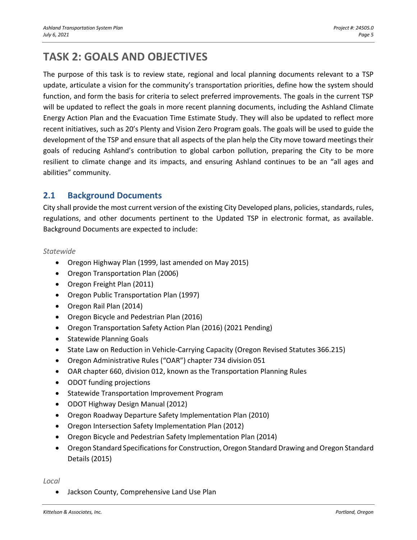## **TASK 2: GOALS AND OBJECTIVES**

The purpose of this task is to review state, regional and local planning documents relevant to a TSP update, articulate a vision for the community's transportation priorities, define how the system should function, and form the basis for criteria to select preferred improvements. The goals in the current TSP will be updated to reflect the goals in more recent planning documents, including the Ashland Climate Energy Action Plan and the Evacuation Time Estimate Study. They will also be updated to reflect more recent initiatives, such as 20's Plenty and Vision Zero Program goals. The goals will be used to guide the development of the TSP and ensure that all aspects of the plan help the City move toward meetings their goals of reducing Ashland's contribution to global carbon pollution, preparing the City to be more resilient to climate change and its impacts, and ensuring Ashland continues to be an "all ages and abilities" community.

## **2.1 Background Documents**

City shall provide the most current version of the existing City Developed plans, policies, standards, rules, regulations, and other documents pertinent to the Updated TSP in electronic format, as available. Background Documents are expected to include:

#### *Statewide*

- Oregon Highway Plan (1999, last amended on May 2015)
- Oregon Transportation Plan (2006)
- Oregon Freight Plan (2011)
- Oregon Public Transportation Plan (1997)
- Oregon Rail Plan (2014)
- Oregon Bicycle and Pedestrian Plan (2016)
- Oregon Transportation Safety Action Plan (2016) (2021 Pending)
- Statewide Planning Goals
- State Law on Reduction in Vehicle-Carrying Capacity (Oregon Revised Statutes 366.215)
- Oregon Administrative Rules ("OAR") chapter 734 division 051
- OAR chapter 660, division 012, known as the Transportation Planning Rules
- ODOT funding projections
- Statewide Transportation Improvement Program
- ODOT Highway Design Manual (2012)
- Oregon Roadway Departure Safety Implementation Plan (2010)
- Oregon Intersection Safety Implementation Plan (2012)
- Oregon Bicycle and Pedestrian Safety Implementation Plan (2014)
- Oregon Standard Specifications for Construction, Oregon Standard Drawing and Oregon Standard Details (2015)

*Local*

• Jackson County, Comprehensive Land Use Plan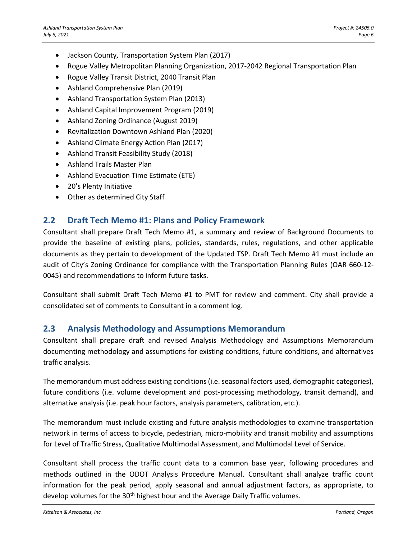- Jackson County, Transportation System Plan (2017)
- Rogue Valley Metropolitan Planning Organization, 2017-2042 Regional Transportation Plan
- Rogue Valley Transit District, 2040 Transit Plan
- Ashland Comprehensive Plan (2019)
- Ashland Transportation System Plan (2013)
- Ashland Capital Improvement Program (2019)
- Ashland Zoning Ordinance (August 2019)
- Revitalization Downtown Ashland Plan (2020)
- Ashland Climate Energy Action Plan (2017)
- Ashland Transit Feasibility Study (2018)
- Ashland Trails Master Plan
- Ashland Evacuation Time Estimate (ETE)
- 20's Plenty Initiative
- Other as determined City Staff

## **2.2 Draft Tech Memo #1: Plans and Policy Framework**

Consultant shall prepare Draft Tech Memo #1, a summary and review of Background Documents to provide the baseline of existing plans, policies, standards, rules, regulations, and other applicable documents as they pertain to development of the Updated TSP. Draft Tech Memo #1 must include an audit of City's Zoning Ordinance for compliance with the Transportation Planning Rules (OAR 660-12- 0045) and recommendations to inform future tasks.

Consultant shall submit Draft Tech Memo #1 to PMT for review and comment. City shall provide a consolidated set of comments to Consultant in a comment log.

## **2.3 Analysis Methodology and Assumptions Memorandum**

Consultant shall prepare draft and revised Analysis Methodology and Assumptions Memorandum documenting methodology and assumptions for existing conditions, future conditions, and alternatives traffic analysis.

The memorandum must address existing conditions (i.e. seasonal factors used, demographic categories), future conditions (i.e. volume development and post-processing methodology, transit demand), and alternative analysis (i.e. peak hour factors, analysis parameters, calibration, etc.).

The memorandum must include existing and future analysis methodologies to examine transportation network in terms of access to bicycle, pedestrian, micro-mobility and transit mobility and assumptions for Level of Traffic Stress, Qualitative Multimodal Assessment, and Multimodal Level of Service.

Consultant shall process the traffic count data to a common base year, following procedures and methods outlined in the ODOT Analysis Procedure Manual. Consultant shall analyze traffic count information for the peak period, apply seasonal and annual adjustment factors, as appropriate, to develop volumes for the  $30<sup>th</sup>$  highest hour and the Average Daily Traffic volumes.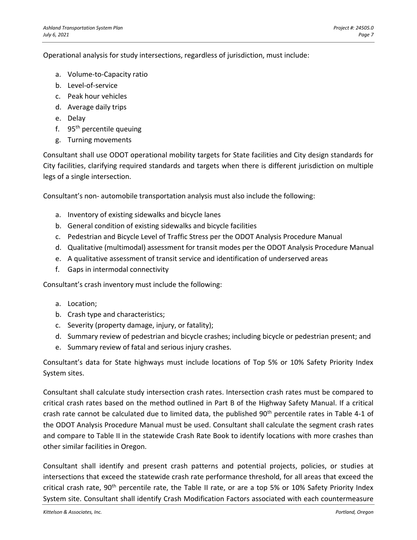Operational analysis for study intersections, regardless of jurisdiction, must include:

- a. Volume-to-Capacity ratio
- b. Level-of-service
- c. Peak hour vehicles
- d. Average daily trips
- e. Delay
- f.  $95<sup>th</sup>$  percentile queuing
- g. Turning movements

Consultant shall use ODOT operational mobility targets for State facilities and City design standards for City facilities, clarifying required standards and targets when there is different jurisdiction on multiple legs of a single intersection.

Consultant's non- automobile transportation analysis must also include the following:

- a. Inventory of existing sidewalks and bicycle lanes
- b. General condition of existing sidewalks and bicycle facilities
- c. Pedestrian and Bicycle Level of Traffic Stress per the ODOT Analysis Procedure Manual
- d. Qualitative (multimodal) assessment for transit modes per the ODOT Analysis Procedure Manual
- e. A qualitative assessment of transit service and identification of underserved areas
- f. Gaps in intermodal connectivity

Consultant's crash inventory must include the following:

- a. Location;
- b. Crash type and characteristics;
- c. Severity (property damage, injury, or fatality);
- d. Summary review of pedestrian and bicycle crashes; including bicycle or pedestrian present; and
- e. Summary review of fatal and serious injury crashes.

Consultant's data for State highways must include locations of Top 5% or 10% Safety Priority Index System sites.

Consultant shall calculate study intersection crash rates. Intersection crash rates must be compared to critical crash rates based on the method outlined in Part B of the Highway Safety Manual. If a critical crash rate cannot be calculated due to limited data, the published  $90<sup>th</sup>$  percentile rates in Table 4-1 of the ODOT Analysis Procedure Manual must be used. Consultant shall calculate the segment crash rates and compare to Table II in the statewide Crash Rate Book to identify locations with more crashes than other similar facilities in Oregon.

Consultant shall identify and present crash patterns and potential projects, policies, or studies at intersections that exceed the statewide crash rate performance threshold, for all areas that exceed the critical crash rate,  $90^{th}$  percentile rate, the Table II rate, or are a top 5% or 10% Safety Priority Index System site. Consultant shall identify Crash Modification Factors associated with each countermeasure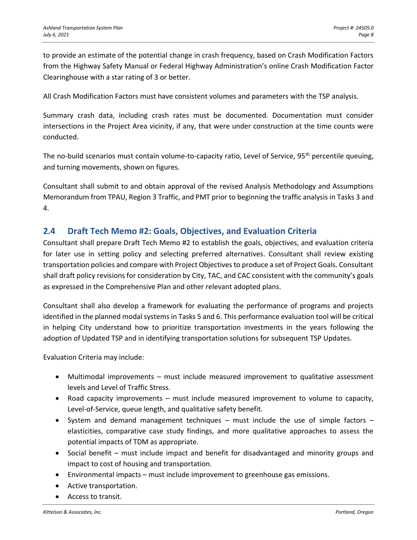to provide an estimate of the potential change in crash frequency, based on Crash Modification Factors from the Highway Safety Manual or Federal Highway Administration's online Crash Modification Factor Clearinghouse with a star rating of 3 or better.

All Crash Modification Factors must have consistent volumes and parameters with the TSP analysis.

Summary crash data, including crash rates must be documented. Documentation must consider intersections in the Project Area vicinity, if any, that were under construction at the time counts were conducted.

The no-build scenarios must contain volume-to-capacity ratio, Level of Service, 95<sup>th</sup> percentile queuing, and turning movements, shown on figures.

Consultant shall submit to and obtain approval of the revised Analysis Methodology and Assumptions Memorandum from TPAU, Region 3 Traffic, and PMT prior to beginning the traffic analysis in Tasks 3 and 4.

## **2.4 Draft Tech Memo #2: Goals, Objectives, and Evaluation Criteria**

Consultant shall prepare Draft Tech Memo #2 to establish the goals, objectives, and evaluation criteria for later use in setting policy and selecting preferred alternatives. Consultant shall review existing transportation policies and compare with Project Objectives to produce a set of Project Goals. Consultant shall draft policy revisions for consideration by City, TAC, and CAC consistent with the community's goals as expressed in the Comprehensive Plan and other relevant adopted plans.

Consultant shall also develop a framework for evaluating the performance of programs and projects identified in the planned modal systems in Tasks 5 and 6. This performance evaluation tool will be critical in helping City understand how to prioritize transportation investments in the years following the adoption of Updated TSP and in identifying transportation solutions for subsequent TSP Updates.

Evaluation Criteria may include:

- Multimodal improvements must include measured improvement to qualitative assessment levels and Level of Traffic Stress.
- Road capacity improvements must include measured improvement to volume to capacity, Level-of-Service, queue length, and qualitative safety benefit.
- System and demand management techniques must include the use of simple factors elasticities, comparative case study findings, and more qualitative approaches to assess the potential impacts of TDM as appropriate.
- Social benefit must include impact and benefit for disadvantaged and minority groups and impact to cost of housing and transportation.
- Environmental impacts must include improvement to greenhouse gas emissions.
- Active transportation.
- Access to transit.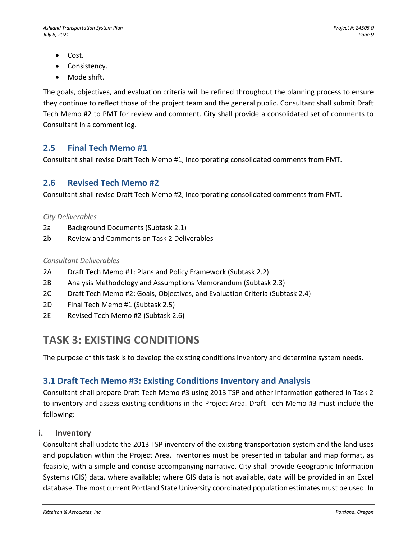- Cost.
- Consistency.
- Mode shift.

The goals, objectives, and evaluation criteria will be refined throughout the planning process to ensure they continue to reflect those of the project team and the general public. Consultant shall submit Draft Tech Memo #2 to PMT for review and comment. City shall provide a consolidated set of comments to Consultant in a comment log.

## **2.5 Final Tech Memo #1**

Consultant shall revise Draft Tech Memo #1, incorporating consolidated comments from PMT.

## **2.6 Revised Tech Memo #2**

Consultant shall revise Draft Tech Memo #2, incorporating consolidated comments from PMT.

#### *City Deliverables*

- 2a Background Documents (Subtask 2.1)
- 2b Review and Comments on Task 2 Deliverables

#### *Consultant Deliverables*

- 2A Draft Tech Memo #1: Plans and Policy Framework (Subtask 2.2)
- 2B Analysis Methodology and Assumptions Memorandum (Subtask 2.3)
- 2C Draft Tech Memo #2: Goals, Objectives, and Evaluation Criteria (Subtask 2.4)
- 2D Final Tech Memo #1 (Subtask 2.5)
- 2E Revised Tech Memo #2 (Subtask 2.6)

## **TASK 3: EXISTING CONDITIONS**

The purpose of this task is to develop the existing conditions inventory and determine system needs.

## **3.1 Draft Tech Memo #3: Existing Conditions Inventory and Analysis**

Consultant shall prepare Draft Tech Memo #3 using 2013 TSP and other information gathered in Task 2 to inventory and assess existing conditions in the Project Area. Draft Tech Memo #3 must include the following:

## **i. Inventory**

Consultant shall update the 2013 TSP inventory of the existing transportation system and the land uses and population within the Project Area. Inventories must be presented in tabular and map format, as feasible, with a simple and concise accompanying narrative. City shall provide Geographic Information Systems (GIS) data, where available; where GIS data is not available, data will be provided in an Excel database. The most current Portland State University coordinated population estimates must be used. In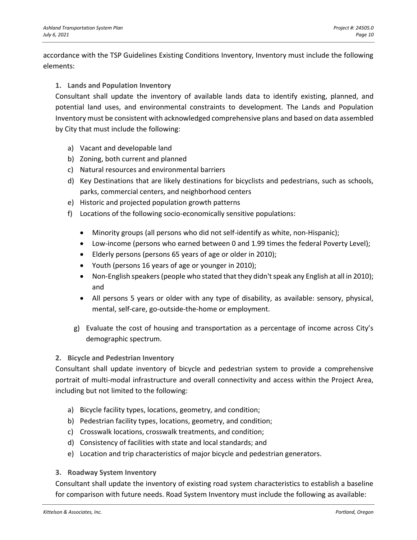accordance with the TSP Guidelines Existing Conditions Inventory, Inventory must include the following elements:

#### **1. Lands and Population Inventory**

Consultant shall update the inventory of available lands data to identify existing, planned, and potential land uses, and environmental constraints to development. The Lands and Population Inventory must be consistent with acknowledged comprehensive plans and based on data assembled by City that must include the following:

- a) Vacant and developable land
- b) Zoning, both current and planned
- c) Natural resources and environmental barriers
- d) Key Destinations that are likely destinations for bicyclists and pedestrians, such as schools, parks, commercial centers, and neighborhood centers
- e) Historic and projected population growth patterns
- f) Locations of the following socio-economically sensitive populations:
	- Minority groups (all persons who did not self-identify as white, non-Hispanic);
	- Low-income (persons who earned between 0 and 1.99 times the federal Poverty Level);
	- Elderly persons (persons 65 years of age or older in 2010);
	- Youth (persons 16 years of age or younger in 2010);
	- Non-English speakers (people who stated that they didn't speak any English at all in 2010); and
	- All persons 5 years or older with any type of disability, as available: sensory, physical, mental, self-care, go-outside-the-home or employment.
	- g) Evaluate the cost of housing and transportation as a percentage of income across City's demographic spectrum.

#### **2. Bicycle and Pedestrian Inventory**

Consultant shall update inventory of bicycle and pedestrian system to provide a comprehensive portrait of multi-modal infrastructure and overall connectivity and access within the Project Area, including but not limited to the following:

- a) Bicycle facility types, locations, geometry, and condition;
- b) Pedestrian facility types, locations, geometry, and condition;
- c) Crosswalk locations, crosswalk treatments, and condition;
- d) Consistency of facilities with state and local standards; and
- e) Location and trip characteristics of major bicycle and pedestrian generators.

#### **3. Roadway System Inventory**

Consultant shall update the inventory of existing road system characteristics to establish a baseline for comparison with future needs. Road System Inventory must include the following as available: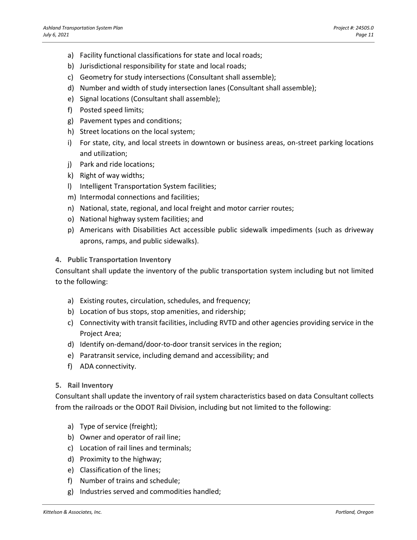- a) Facility functional classifications for state and local roads;
- b) Jurisdictional responsibility for state and local roads;
- c) Geometry for study intersections (Consultant shall assemble);
- d) Number and width of study intersection lanes (Consultant shall assemble);
- e) Signal locations (Consultant shall assemble);
- f) Posted speed limits;
- g) Pavement types and conditions;
- h) Street locations on the local system;
- i) For state, city, and local streets in downtown or business areas, on-street parking locations and utilization;
- j) Park and ride locations;
- k) Right of way widths;
- l) Intelligent Transportation System facilities;
- m) Intermodal connections and facilities;
- n) National, state, regional, and local freight and motor carrier routes;
- o) National highway system facilities; and
- p) Americans with Disabilities Act accessible public sidewalk impediments (such as driveway aprons, ramps, and public sidewalks).

#### **4. Public Transportation Inventory**

Consultant shall update the inventory of the public transportation system including but not limited to the following:

- a) Existing routes, circulation, schedules, and frequency;
- b) Location of bus stops, stop amenities, and ridership;
- c) Connectivity with transit facilities, including RVTD and other agencies providing service in the Project Area;
- d) Identify on-demand/door-to-door transit services in the region;
- e) Paratransit service, including demand and accessibility; and
- f) ADA connectivity.

#### **5. Rail Inventory**

Consultant shall update the inventory of rail system characteristics based on data Consultant collects from the railroads or the ODOT Rail Division, including but not limited to the following:

- a) Type of service (freight);
- b) Owner and operator of rail line;
- c) Location of rail lines and terminals;
- d) Proximity to the highway;
- e) Classification of the lines;
- f) Number of trains and schedule;
- g) Industries served and commodities handled;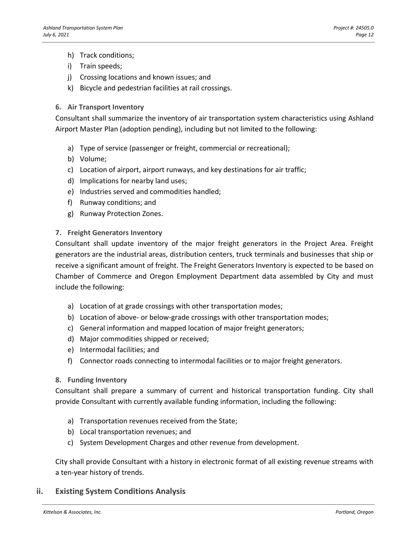- h) Track conditions;
- i) Train speeds;
- j) Crossing locations and known issues; and
- k) Bicycle and pedestrian facilities at rail crossings.

#### **6. Air Transport Inventory**

Consultant shall summarize the inventory of air transportation system characteristics using Ashland Airport Master Plan (adoption pending), including but not limited to the following:

- a) Type of service (passenger or freight, commercial or recreational);
- b) Volume;
- c) Location of airport, airport runways, and key destinations for air traffic;
- d) Implications for nearby land uses;
- e) Industries served and commodities handled;
- f) Runway conditions; and
- g) Runway Protection Zones.

#### **7. Freight Generators Inventory**

Consultant shall update inventory of the major freight generators in the Project Area. Freight generators are the industrial areas, distribution centers, truck terminals and businesses that ship or receive a significant amount of freight. The Freight Generators Inventory is expected to be based on Chamber of Commerce and Oregon Employment Department data assembled by City and must include the following:

- a) Location of at grade crossings with other transportation modes;
- b) Location of above- or below-grade crossings with other transportation modes;
- c) General information and mapped location of major freight generators;
- d) Major commodities shipped or received;
- e) Intermodal facilities; and
- f) Connector roads connecting to intermodal facilities or to major freight generators.

#### **8. Funding Inventory**

Consultant shall prepare a summary of current and historical transportation funding. City shall provide Consultant with currently available funding information, including the following:

- a) Transportation revenues received from the State;
- b) Local transportation revenues; and
- c) System Development Charges and other revenue from development.

City shall provide Consultant with a history in electronic format of all existing revenue streams with a ten-year history of trends.

#### **ii. Existing System Conditions Analysis**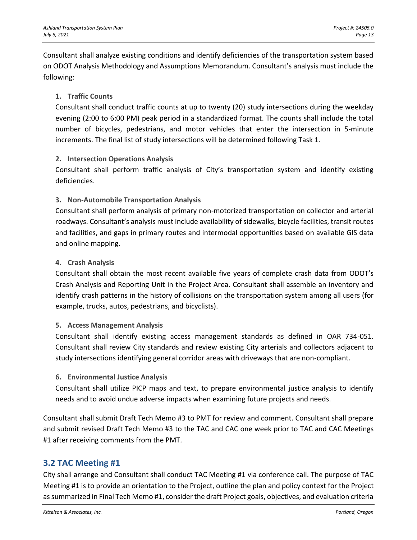Consultant shall analyze existing conditions and identify deficiencies of the transportation system based on ODOT Analysis Methodology and Assumptions Memorandum. Consultant's analysis must include the following:

#### **1. Traffic Counts**

Consultant shall conduct traffic counts at up to twenty (20) study intersections during the weekday evening (2:00 to 6:00 PM) peak period in a standardized format. The counts shall include the total number of bicycles, pedestrians, and motor vehicles that enter the intersection in 5-minute increments. The final list of study intersections will be determined following Task 1.

#### **2. Intersection Operations Analysis**

Consultant shall perform traffic analysis of City's transportation system and identify existing deficiencies.

#### **3. Non-Automobile Transportation Analysis**

Consultant shall perform analysis of primary non-motorized transportation on collector and arterial roadways. Consultant's analysis must include availability of sidewalks, bicycle facilities, transit routes and facilities, and gaps in primary routes and intermodal opportunities based on available GIS data and online mapping.

#### **4. Crash Analysis**

Consultant shall obtain the most recent available five years of complete crash data from ODOT's Crash Analysis and Reporting Unit in the Project Area. Consultant shall assemble an inventory and identify crash patterns in the history of collisions on the transportation system among all users (for example, trucks, autos, pedestrians, and bicyclists).

#### **5. Access Management Analysis**

Consultant shall identify existing access management standards as defined in OAR 734-051. Consultant shall review City standards and review existing City arterials and collectors adjacent to study intersections identifying general corridor areas with driveways that are non-compliant.

#### **6. Environmental Justice Analysis**

Consultant shall utilize PICP maps and text, to prepare environmental justice analysis to identify needs and to avoid undue adverse impacts when examining future projects and needs.

Consultant shall submit Draft Tech Memo #3 to PMT for review and comment. Consultant shall prepare and submit revised Draft Tech Memo #3 to the TAC and CAC one week prior to TAC and CAC Meetings #1 after receiving comments from the PMT.

## **3.2 TAC Meeting #1**

City shall arrange and Consultant shall conduct TAC Meeting #1 via conference call. The purpose of TAC Meeting #1 is to provide an orientation to the Project, outline the plan and policy context for the Project as summarized in Final Tech Memo #1, consider the draft Project goals, objectives, and evaluation criteria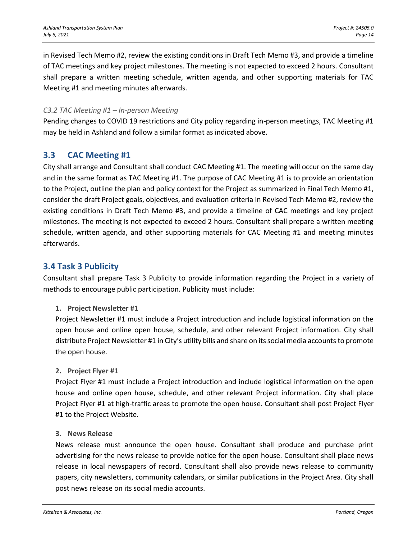in Revised Tech Memo #2, review the existing conditions in Draft Tech Memo #3, and provide a timeline of TAC meetings and key project milestones. The meeting is not expected to exceed 2 hours. Consultant shall prepare a written meeting schedule, written agenda, and other supporting materials for TAC Meeting #1 and meeting minutes afterwards.

#### *C3.2 TAC Meeting #1 – In-person Meeting*

Pending changes to COVID 19 restrictions and City policy regarding in-person meetings, TAC Meeting #1 may be held in Ashland and follow a similar format as indicated above.

## **3.3 CAC Meeting #1**

City shall arrange and Consultant shall conduct CAC Meeting #1. The meeting will occur on the same day and in the same format as TAC Meeting #1. The purpose of CAC Meeting #1 is to provide an orientation to the Project, outline the plan and policy context for the Project as summarized in Final Tech Memo #1, consider the draft Project goals, objectives, and evaluation criteria in Revised Tech Memo #2, review the existing conditions in Draft Tech Memo #3, and provide a timeline of CAC meetings and key project milestones. The meeting is not expected to exceed 2 hours. Consultant shall prepare a written meeting schedule, written agenda, and other supporting materials for CAC Meeting #1 and meeting minutes afterwards.

## **3.4 Task 3 Publicity**

Consultant shall prepare Task 3 Publicity to provide information regarding the Project in a variety of methods to encourage public participation. Publicity must include:

#### **1. Project Newsletter #1**

Project Newsletter #1 must include a Project introduction and include logistical information on the open house and online open house, schedule, and other relevant Project information. City shall distribute Project Newsletter #1 in City's utility bills and share on its social media accountsto promote the open house.

#### **2. Project Flyer #1**

Project Flyer #1 must include a Project introduction and include logistical information on the open house and online open house, schedule, and other relevant Project information. City shall place Project Flyer #1 at high-traffic areas to promote the open house. Consultant shall post Project Flyer #1 to the Project Website.

#### **3. News Release**

News release must announce the open house. Consultant shall produce and purchase print advertising for the news release to provide notice for the open house. Consultant shall place news release in local newspapers of record. Consultant shall also provide news release to community papers, city newsletters, community calendars, or similar publications in the Project Area. City shall post news release on its social media accounts.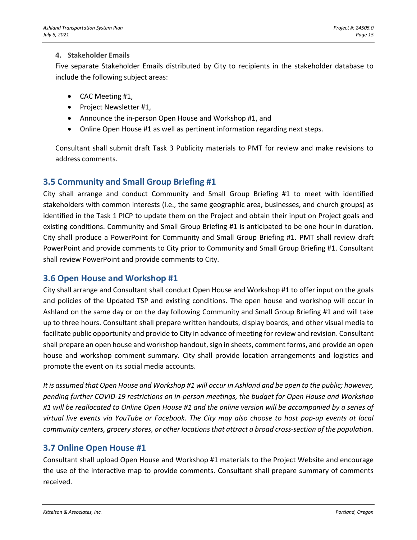#### **4. Stakeholder Emails**

Five separate Stakeholder Emails distributed by City to recipients in the stakeholder database to include the following subject areas:

- CAC Meeting #1,
- Project Newsletter #1,
- Announce the in-person Open House and Workshop #1, and
- Online Open House #1 as well as pertinent information regarding next steps.

Consultant shall submit draft Task 3 Publicity materials to PMT for review and make revisions to address comments.

## **3.5 Community and Small Group Briefing #1**

City shall arrange and conduct Community and Small Group Briefing #1 to meet with identified stakeholders with common interests (i.e., the same geographic area, businesses, and church groups) as identified in the Task 1 PICP to update them on the Project and obtain their input on Project goals and existing conditions. Community and Small Group Briefing #1 is anticipated to be one hour in duration. City shall produce a PowerPoint for Community and Small Group Briefing #1. PMT shall review draft PowerPoint and provide comments to City prior to Community and Small Group Briefing #1. Consultant shall review PowerPoint and provide comments to City.

## **3.6 Open House and Workshop #1**

City shall arrange and Consultant shall conduct Open House and Workshop #1 to offer input on the goals and policies of the Updated TSP and existing conditions. The open house and workshop will occur in Ashland on the same day or on the day following Community and Small Group Briefing #1 and will take up to three hours. Consultant shall prepare written handouts, display boards, and other visual media to facilitate public opportunity and provide to City in advance of meeting for review and revision. Consultant shall prepare an open house and workshop handout, sign in sheets, comment forms, and provide an open house and workshop comment summary. City shall provide location arrangements and logistics and promote the event on its social media accounts.

*It is assumed that Open House and Workshop #1 will occur in Ashland and be open to the public; however, pending further COVID-19 restrictions on in-person meetings, the budget for Open House and Workshop #1 will be reallocated to Online Open House #1 and the online version will be accompanied by a series of virtual live events via YouTube or Facebook. The City may also choose to host pop-up events at local community centers, grocery stores, or other locations that attract a broad cross-section of the population.*

## **3.7 Online Open House #1**

Consultant shall upload Open House and Workshop #1 materials to the Project Website and encourage the use of the interactive map to provide comments. Consultant shall prepare summary of comments received.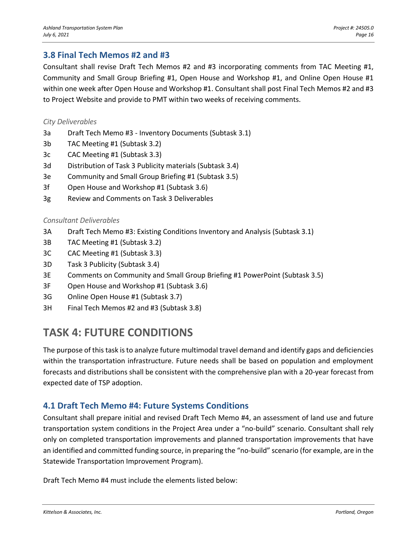## **3.8 Final Tech Memos #2 and #3**

Consultant shall revise Draft Tech Memos #2 and #3 incorporating comments from TAC Meeting #1, Community and Small Group Briefing #1, Open House and Workshop #1, and Online Open House #1 within one week after Open House and Workshop #1. Consultant shall post Final Tech Memos #2 and #3 to Project Website and provide to PMT within two weeks of receiving comments.

#### *City Deliverables*

- 3a Draft Tech Memo #3 Inventory Documents (Subtask 3.1)
- 3b TAC Meeting #1 (Subtask 3.2)
- 3c CAC Meeting #1 (Subtask 3.3)
- 3d Distribution of Task 3 Publicity materials (Subtask 3.4)
- 3e Community and Small Group Briefing #1 (Subtask 3.5)
- 3f Open House and Workshop #1 (Subtask 3.6)
- 3g Review and Comments on Task 3 Deliverables

#### *Consultant Deliverables*

- 3A Draft Tech Memo #3: Existing Conditions Inventory and Analysis (Subtask 3.1)
- 3B TAC Meeting #1 (Subtask 3.2)
- 3C CAC Meeting #1 (Subtask 3.3)
- 3D Task 3 Publicity (Subtask 3.4)
- 3E Comments on Community and Small Group Briefing #1 PowerPoint (Subtask 3.5)
- 3F Open House and Workshop #1 (Subtask 3.6)
- 3G Online Open House #1 (Subtask 3.7)
- 3H Final Tech Memos #2 and #3 (Subtask 3.8)

## **TASK 4: FUTURE CONDITIONS**

The purpose of this task is to analyze future multimodal travel demand and identify gaps and deficiencies within the transportation infrastructure. Future needs shall be based on population and employment forecasts and distributions shall be consistent with the comprehensive plan with a 20‐year forecast from expected date of TSP adoption.

## **4.1 Draft Tech Memo #4: Future Systems Conditions**

Consultant shall prepare initial and revised Draft Tech Memo #4, an assessment of land use and future transportation system conditions in the Project Area under a "no-build" scenario. Consultant shall rely only on completed transportation improvements and planned transportation improvements that have an identified and committed funding source, in preparing the "no-build" scenario (for example, are in the Statewide Transportation Improvement Program).

Draft Tech Memo #4 must include the elements listed below: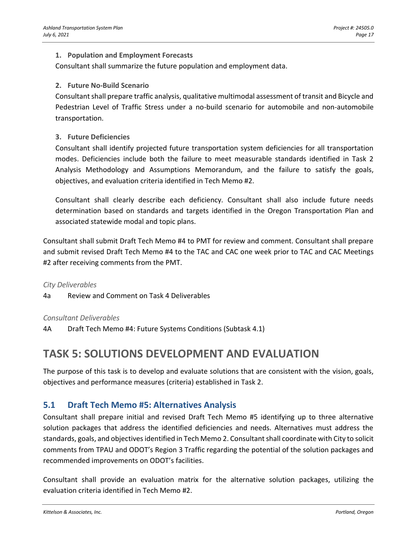#### **1. Population and Employment Forecasts**

Consultant shall summarize the future population and employment data.

#### **2. Future No-Build Scenario**

Consultant shall prepare traffic analysis, qualitative multimodal assessment of transit and Bicycle and Pedestrian Level of Traffic Stress under a no-build scenario for automobile and non-automobile transportation.

#### **3. Future Deficiencies**

Consultant shall identify projected future transportation system deficiencies for all transportation modes. Deficiencies include both the failure to meet measurable standards identified in Task 2 Analysis Methodology and Assumptions Memorandum, and the failure to satisfy the goals, objectives, and evaluation criteria identified in Tech Memo #2.

Consultant shall clearly describe each deficiency. Consultant shall also include future needs determination based on standards and targets identified in the Oregon Transportation Plan and associated statewide modal and topic plans.

Consultant shall submit Draft Tech Memo #4 to PMT for review and comment. Consultant shall prepare and submit revised Draft Tech Memo #4 to the TAC and CAC one week prior to TAC and CAC Meetings #2 after receiving comments from the PMT.

#### *City Deliverables*

4a Review and Comment on Task 4 Deliverables

#### *Consultant Deliverables*

4A Draft Tech Memo #4: Future Systems Conditions (Subtask 4.1)

## **TASK 5: SOLUTIONS DEVELOPMENT AND EVALUATION**

The purpose of this task is to develop and evaluate solutions that are consistent with the vision, goals, objectives and performance measures (criteria) established in Task 2.

## **5.1 Draft Tech Memo #5: Alternatives Analysis**

Consultant shall prepare initial and revised Draft Tech Memo #5 identifying up to three alternative solution packages that address the identified deficiencies and needs. Alternatives must address the standards, goals, and objectives identified in Tech Memo 2. Consultant shall coordinate with City to solicit comments from TPAU and ODOT's Region 3 Traffic regarding the potential of the solution packages and recommended improvements on ODOT's facilities.

Consultant shall provide an evaluation matrix for the alternative solution packages, utilizing the evaluation criteria identified in Tech Memo #2.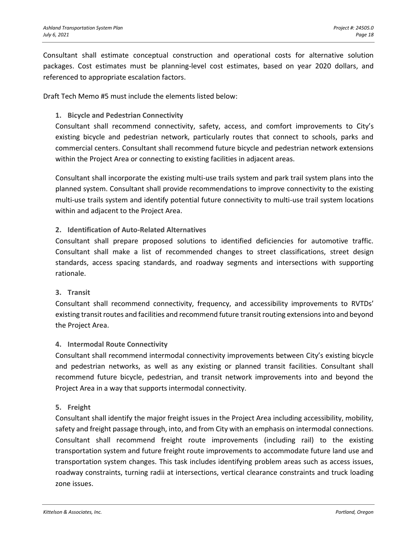Consultant shall estimate conceptual construction and operational costs for alternative solution packages. Cost estimates must be planning-level cost estimates, based on year 2020 dollars, and referenced to appropriate escalation factors.

Draft Tech Memo #5 must include the elements listed below:

#### **1. Bicycle and Pedestrian Connectivity**

Consultant shall recommend connectivity, safety, access, and comfort improvements to City's existing bicycle and pedestrian network, particularly routes that connect to schools, parks and commercial centers. Consultant shall recommend future bicycle and pedestrian network extensions within the Project Area or connecting to existing facilities in adjacent areas.

Consultant shall incorporate the existing multi-use trails system and park trail system plans into the planned system. Consultant shall provide recommendations to improve connectivity to the existing multi-use trails system and identify potential future connectivity to multi-use trail system locations within and adjacent to the Project Area.

#### **2. Identification of Auto-Related Alternatives**

Consultant shall prepare proposed solutions to identified deficiencies for automotive traffic. Consultant shall make a list of recommended changes to street classifications, street design standards, access spacing standards, and roadway segments and intersections with supporting rationale.

#### **3. Transit**

Consultant shall recommend connectivity, frequency, and accessibility improvements to RVTDs' existing transit routes and facilities and recommend future transit routing extensions into and beyond the Project Area.

#### **4. Intermodal Route Connectivity**

Consultant shall recommend intermodal connectivity improvements between City's existing bicycle and pedestrian networks, as well as any existing or planned transit facilities. Consultant shall recommend future bicycle, pedestrian, and transit network improvements into and beyond the Project Area in a way that supports intermodal connectivity.

#### **5. Freight**

Consultant shall identify the major freight issues in the Project Area including accessibility, mobility, safety and freight passage through, into, and from City with an emphasis on intermodal connections. Consultant shall recommend freight route improvements (including rail) to the existing transportation system and future freight route improvements to accommodate future land use and transportation system changes. This task includes identifying problem areas such as access issues, roadway constraints, turning radii at intersections, vertical clearance constraints and truck loading zone issues.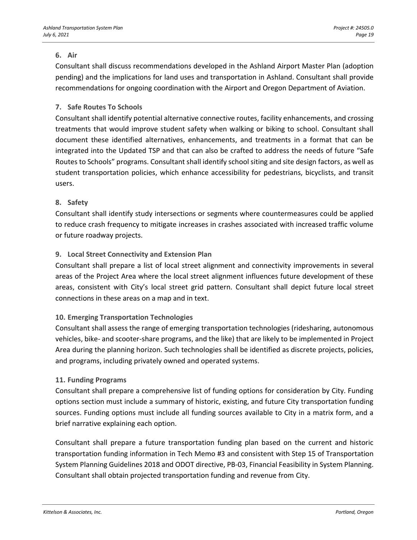#### **6. Air**

Consultant shall discuss recommendations developed in the Ashland Airport Master Plan (adoption pending) and the implications for land uses and transportation in Ashland. Consultant shall provide recommendations for ongoing coordination with the Airport and Oregon Department of Aviation.

#### **7. Safe Routes To Schools**

Consultant shall identify potential alternative connective routes, facility enhancements, and crossing treatments that would improve student safety when walking or biking to school. Consultant shall document these identified alternatives, enhancements, and treatments in a format that can be integrated into the Updated TSP and that can also be crafted to address the needs of future "Safe Routes to Schools" programs. Consultant shall identify school siting and site design factors, as well as student transportation policies, which enhance accessibility for pedestrians, bicyclists, and transit users.

#### **8. Safety**

Consultant shall identify study intersections or segments where countermeasures could be applied to reduce crash frequency to mitigate increases in crashes associated with increased traffic volume or future roadway projects.

#### **9. Local Street Connectivity and Extension Plan**

Consultant shall prepare a list of local street alignment and connectivity improvements in several areas of the Project Area where the local street alignment influences future development of these areas, consistent with City's local street grid pattern. Consultant shall depict future local street connections in these areas on a map and in text.

#### **10. Emerging Transportation Technologies**

Consultant shall assess the range of emerging transportation technologies (ridesharing, autonomous vehicles, bike- and scooter-share programs, and the like) that are likely to be implemented in Project Area during the planning horizon. Such technologies shall be identified as discrete projects, policies, and programs, including privately owned and operated systems.

#### **11. Funding Programs**

Consultant shall prepare a comprehensive list of funding options for consideration by City. Funding options section must include a summary of historic, existing, and future City transportation funding sources. Funding options must include all funding sources available to City in a matrix form, and a brief narrative explaining each option.

Consultant shall prepare a future transportation funding plan based on the current and historic transportation funding information in Tech Memo #3 and consistent with Step 15 of Transportation System Planning Guidelines 2018 and ODOT directive, PB-03, Financial Feasibility in System Planning. Consultant shall obtain projected transportation funding and revenue from City.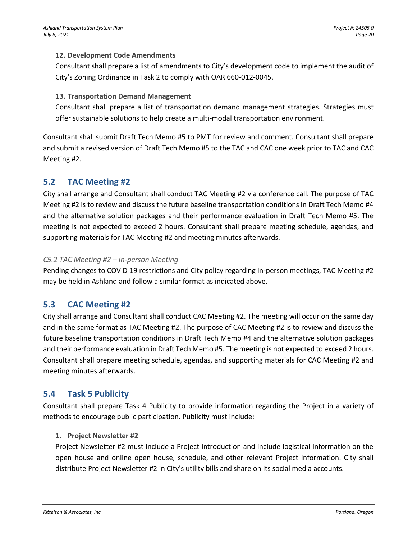#### **12. Development Code Amendments**

Consultant shall prepare a list of amendments to City's development code to implement the audit of City's Zoning Ordinance in Task 2 to comply with OAR 660-012-0045.

#### **13. Transportation Demand Management**

Consultant shall prepare a list of transportation demand management strategies. Strategies must offer sustainable solutions to help create a multi-modal transportation environment.

Consultant shall submit Draft Tech Memo #5 to PMT for review and comment. Consultant shall prepare and submit a revised version of Draft Tech Memo #5 to the TAC and CAC one week prior to TAC and CAC Meeting #2.

## **5.2 TAC Meeting #2**

City shall arrange and Consultant shall conduct TAC Meeting #2 via conference call. The purpose of TAC Meeting #2 is to review and discuss the future baseline transportation conditions in Draft Tech Memo #4 and the alternative solution packages and their performance evaluation in Draft Tech Memo #5. The meeting is not expected to exceed 2 hours. Consultant shall prepare meeting schedule, agendas, and supporting materials for TAC Meeting #2 and meeting minutes afterwards.

#### *C5.2 TAC Meeting #2 – In-person Meeting*

Pending changes to COVID 19 restrictions and City policy regarding in-person meetings, TAC Meeting #2 may be held in Ashland and follow a similar format as indicated above.

## **5.3 CAC Meeting #2**

City shall arrange and Consultant shall conduct CAC Meeting #2. The meeting will occur on the same day and in the same format as TAC Meeting #2. The purpose of CAC Meeting #2 is to review and discuss the future baseline transportation conditions in Draft Tech Memo #4 and the alternative solution packages and their performance evaluation in Draft Tech Memo #5. The meeting is not expected to exceed 2 hours. Consultant shall prepare meeting schedule, agendas, and supporting materials for CAC Meeting #2 and meeting minutes afterwards.

## **5.4 Task 5 Publicity**

Consultant shall prepare Task 4 Publicity to provide information regarding the Project in a variety of methods to encourage public participation. Publicity must include:

#### **1. Project Newsletter #2**

Project Newsletter #2 must include a Project introduction and include logistical information on the open house and online open house, schedule, and other relevant Project information. City shall distribute Project Newsletter #2 in City's utility bills and share on its social media accounts.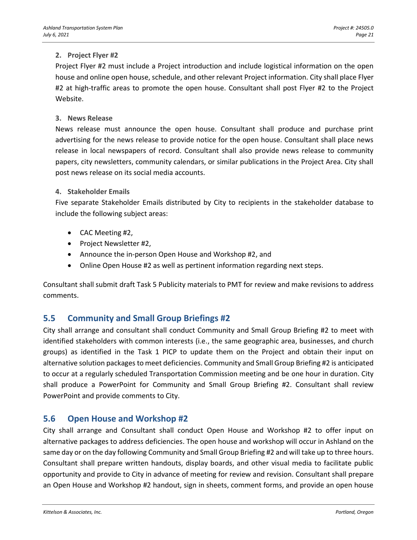#### **2. Project Flyer #2**

Project Flyer #2 must include a Project introduction and include logistical information on the open house and online open house, schedule, and other relevant Project information. City shall place Flyer #2 at high-traffic areas to promote the open house. Consultant shall post Flyer #2 to the Project Website.

#### **3. News Release**

News release must announce the open house. Consultant shall produce and purchase print advertising for the news release to provide notice for the open house. Consultant shall place news release in local newspapers of record. Consultant shall also provide news release to community papers, city newsletters, community calendars, or similar publications in the Project Area. City shall post news release on its social media accounts.

#### **4. Stakeholder Emails**

Five separate Stakeholder Emails distributed by City to recipients in the stakeholder database to include the following subject areas:

- CAC Meeting #2,
- Project Newsletter #2,
- Announce the in-person Open House and Workshop #2, and
- Online Open House #2 as well as pertinent information regarding next steps.

Consultant shall submit draft Task 5 Publicity materials to PMT for review and make revisions to address comments.

## **5.5 Community and Small Group Briefings #2**

City shall arrange and consultant shall conduct Community and Small Group Briefing #2 to meet with identified stakeholders with common interests (i.e., the same geographic area, businesses, and church groups) as identified in the Task 1 PICP to update them on the Project and obtain their input on alternative solution packages to meet deficiencies. Community and Small Group Briefing #2 is anticipated to occur at a regularly scheduled Transportation Commission meeting and be one hour in duration. City shall produce a PowerPoint for Community and Small Group Briefing #2. Consultant shall review PowerPoint and provide comments to City.

## **5.6 Open House and Workshop #2**

City shall arrange and Consultant shall conduct Open House and Workshop #2 to offer input on alternative packages to address deficiencies. The open house and workshop will occur in Ashland on the same day or on the day following Community and Small Group Briefing #2 and will take up to three hours. Consultant shall prepare written handouts, display boards, and other visual media to facilitate public opportunity and provide to City in advance of meeting for review and revision. Consultant shall prepare an Open House and Workshop #2 handout, sign in sheets, comment forms, and provide an open house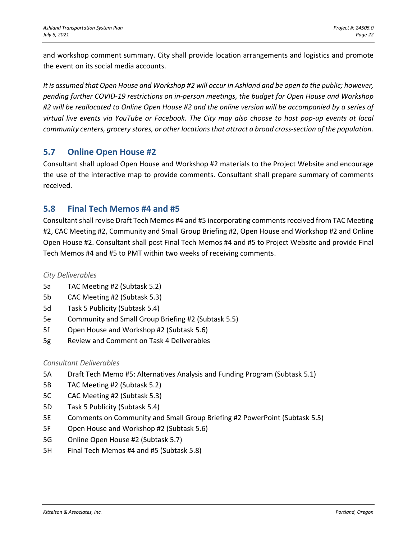and workshop comment summary. City shall provide location arrangements and logistics and promote the event on its social media accounts.

*It is assumed that Open House and Workshop #2 will occur in Ashland and be open to the public; however, pending further COVID-19 restrictions on in-person meetings, the budget for Open House and Workshop #2 will be reallocated to Online Open House #2 and the online version will be accompanied by a series of virtual live events via YouTube or Facebook. The City may also choose to host pop-up events at local community centers, grocery stores, or other locations that attract a broad cross-section of the population.*

## **5.7 Online Open House #2**

Consultant shall upload Open House and Workshop #2 materials to the Project Website and encourage the use of the interactive map to provide comments. Consultant shall prepare summary of comments received.

## **5.8 Final Tech Memos #4 and #5**

Consultant shall revise Draft Tech Memos #4 and #5 incorporating comments received from TAC Meeting #2, CAC Meeting #2, Community and Small Group Briefing #2, Open House and Workshop #2 and Online Open House #2. Consultant shall post Final Tech Memos #4 and #5 to Project Website and provide Final Tech Memos #4 and #5 to PMT within two weeks of receiving comments.

#### *City Deliverables*

- 5a TAC Meeting #2 (Subtask 5.2)
- 5b CAC Meeting #2 (Subtask 5.3)
- 5d Task 5 Publicity (Subtask 5.4)
- 5e Community and Small Group Briefing #2 (Subtask 5.5)
- 5f Open House and Workshop #2 (Subtask 5.6)
- 5g Review and Comment on Task 4 Deliverables

#### *Consultant Deliverables*

- 5A Draft Tech Memo #5: Alternatives Analysis and Funding Program (Subtask 5.1)
- 5B TAC Meeting #2 (Subtask 5.2)
- 5C CAC Meeting #2 (Subtask 5.3)
- 5D Task 5 Publicity (Subtask 5.4)
- 5E Comments on Community and Small Group Briefing #2 PowerPoint (Subtask 5.5)
- 5F Open House and Workshop #2 (Subtask 5.6)
- 5G Online Open House #2 (Subtask 5.7)
- 5H Final Tech Memos #4 and #5 (Subtask 5.8)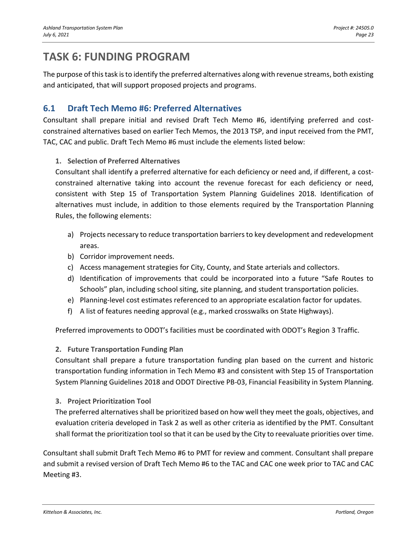## **TASK 6: FUNDING PROGRAM**

The purpose of this task is to identify the preferred alternatives along with revenue streams, both existing and anticipated, that will support proposed projects and programs.

## **6.1 Draft Tech Memo #6: Preferred Alternatives**

Consultant shall prepare initial and revised Draft Tech Memo #6, identifying preferred and costconstrained alternatives based on earlier Tech Memos, the 2013 TSP, and input received from the PMT, TAC, CAC and public. Draft Tech Memo #6 must include the elements listed below:

#### **1. Selection of Preferred Alternatives**

Consultant shall identify a preferred alternative for each deficiency or need and, if different, a costconstrained alternative taking into account the revenue forecast for each deficiency or need, consistent with Step 15 of Transportation System Planning Guidelines 2018. Identification of alternatives must include, in addition to those elements required by the Transportation Planning Rules, the following elements:

- a) Projects necessary to reduce transportation barriers to key development and redevelopment areas.
- b) Corridor improvement needs.
- c) Access management strategies for City, County, and State arterials and collectors.
- d) Identification of improvements that could be incorporated into a future "Safe Routes to Schools" plan, including school siting, site planning, and student transportation policies.
- e) Planning-level cost estimates referenced to an appropriate escalation factor for updates.
- f) A list of features needing approval (e.g., marked crosswalks on State Highways).

Preferred improvements to ODOT's facilities must be coordinated with ODOT's Region 3 Traffic.

#### **2. Future Transportation Funding Plan**

Consultant shall prepare a future transportation funding plan based on the current and historic transportation funding information in Tech Memo #3 and consistent with Step 15 of Transportation System Planning Guidelines 2018 and ODOT Directive PB-03, Financial Feasibility in System Planning.

#### **3. Project Prioritization Tool**

The preferred alternatives shall be prioritized based on how well they meet the goals, objectives, and evaluation criteria developed in Task 2 as well as other criteria as identified by the PMT. Consultant shall format the prioritization tool so that it can be used by the City to reevaluate priorities over time.

Consultant shall submit Draft Tech Memo #6 to PMT for review and comment. Consultant shall prepare and submit a revised version of Draft Tech Memo #6 to the TAC and CAC one week prior to TAC and CAC Meeting #3.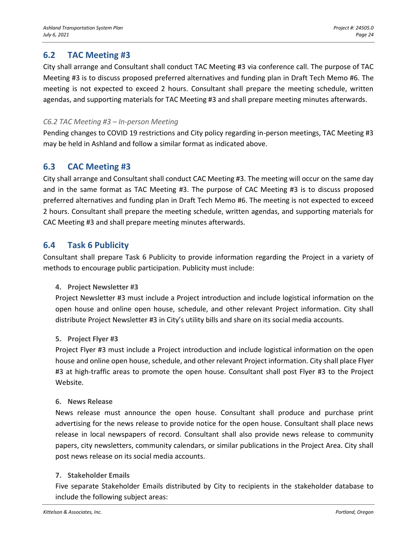## **6.2 TAC Meeting #3**

City shall arrange and Consultant shall conduct TAC Meeting #3 via conference call. The purpose of TAC Meeting #3 is to discuss proposed preferred alternatives and funding plan in Draft Tech Memo #6. The meeting is not expected to exceed 2 hours. Consultant shall prepare the meeting schedule, written agendas, and supporting materials for TAC Meeting #3 and shall prepare meeting minutes afterwards.

#### *C6.2 TAC Meeting #3 – In-person Meeting*

Pending changes to COVID 19 restrictions and City policy regarding in-person meetings, TAC Meeting #3 may be held in Ashland and follow a similar format as indicated above.

## **6.3 CAC Meeting #3**

City shall arrange and Consultant shall conduct CAC Meeting #3. The meeting will occur on the same day and in the same format as TAC Meeting #3. The purpose of CAC Meeting #3 is to discuss proposed preferred alternatives and funding plan in Draft Tech Memo #6. The meeting is not expected to exceed 2 hours. Consultant shall prepare the meeting schedule, written agendas, and supporting materials for CAC Meeting #3 and shall prepare meeting minutes afterwards.

## **6.4 Task 6 Publicity**

Consultant shall prepare Task 6 Publicity to provide information regarding the Project in a variety of methods to encourage public participation. Publicity must include:

#### **4. Project Newsletter #3**

Project Newsletter #3 must include a Project introduction and include logistical information on the open house and online open house, schedule, and other relevant Project information. City shall distribute Project Newsletter #3 in City's utility bills and share on its social media accounts.

#### **5. Project Flyer #3**

Project Flyer #3 must include a Project introduction and include logistical information on the open house and online open house, schedule, and other relevant Project information. City shall place Flyer #3 at high-traffic areas to promote the open house. Consultant shall post Flyer #3 to the Project Website.

#### **6. News Release**

News release must announce the open house. Consultant shall produce and purchase print advertising for the news release to provide notice for the open house. Consultant shall place news release in local newspapers of record. Consultant shall also provide news release to community papers, city newsletters, community calendars, or similar publications in the Project Area. City shall post news release on its social media accounts.

#### **7. Stakeholder Emails**

Five separate Stakeholder Emails distributed by City to recipients in the stakeholder database to include the following subject areas: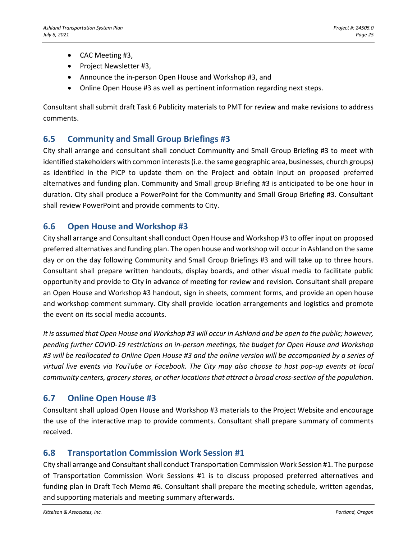- CAC Meeting #3,
- Project Newsletter #3,
- Announce the in-person Open House and Workshop #3, and
- Online Open House #3 as well as pertinent information regarding next steps.

Consultant shall submit draft Task 6 Publicity materials to PMT for review and make revisions to address comments.

## **6.5 Community and Small Group Briefings #3**

City shall arrange and consultant shall conduct Community and Small Group Briefing #3 to meet with identified stakeholders with common interests (i.e. the same geographic area, businesses, church groups) as identified in the PICP to update them on the Project and obtain input on proposed preferred alternatives and funding plan. Community and Small group Briefing #3 is anticipated to be one hour in duration. City shall produce a PowerPoint for the Community and Small Group Briefing #3. Consultant shall review PowerPoint and provide comments to City.

## **6.6 Open House and Workshop #3**

City shall arrange and Consultant shall conduct Open House and Workshop #3 to offer input on proposed preferred alternatives and funding plan. The open house and workshop will occur in Ashland on the same day or on the day following Community and Small Group Briefings #3 and will take up to three hours. Consultant shall prepare written handouts, display boards, and other visual media to facilitate public opportunity and provide to City in advance of meeting for review and revision. Consultant shall prepare an Open House and Workshop #3 handout, sign in sheets, comment forms, and provide an open house and workshop comment summary. City shall provide location arrangements and logistics and promote the event on its social media accounts.

*It is assumed that Open House and Workshop #3 will occur in Ashland and be open to the public; however, pending further COVID-19 restrictions on in-person meetings, the budget for Open House and Workshop #3 will be reallocated to Online Open House #3 and the online version will be accompanied by a series of virtual live events via YouTube or Facebook. The City may also choose to host pop-up events at local community centers, grocery stores, or other locations that attract a broad cross-section of the population.*

## **6.7 Online Open House #3**

Consultant shall upload Open House and Workshop #3 materials to the Project Website and encourage the use of the interactive map to provide comments. Consultant shall prepare summary of comments received.

## **6.8 Transportation Commission Work Session #1**

City shall arrange and Consultant shall conduct Transportation Commission Work Session #1. The purpose of Transportation Commission Work Sessions #1 is to discuss proposed preferred alternatives and funding plan in Draft Tech Memo #6. Consultant shall prepare the meeting schedule, written agendas, and supporting materials and meeting summary afterwards.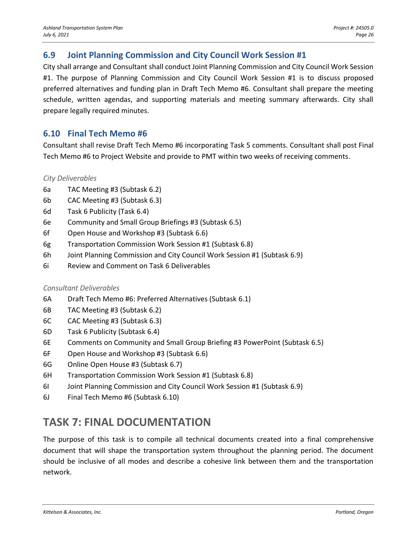## **6.9 Joint Planning Commission and City Council Work Session #1**

City shall arrange and Consultant shall conduct Joint Planning Commission and City Council Work Session #1. The purpose of Planning Commission and City Council Work Session #1 is to discuss proposed preferred alternatives and funding plan in Draft Tech Memo #6. Consultant shall prepare the meeting schedule, written agendas, and supporting materials and meeting summary afterwards. City shall prepare legally required minutes.

## **6.10 Final Tech Memo #6**

Consultant shall revise Draft Tech Memo #6 incorporating Task 5 comments. Consultant shall post Final Tech Memo #6 to Project Website and provide to PMT within two weeks of receiving comments.

#### *City Deliverables*

- 6a TAC Meeting #3 (Subtask 6.2)
- 6b CAC Meeting #3 (Subtask 6.3)
- 6d Task 6 Publicity (Task 6.4)
- 6e Community and Small Group Briefings #3 (Subtask 6.5)
- 6f Open House and Workshop #3 (Subtask 6.6)
- 6g Transportation Commission Work Session #1 (Subtask 6.8)
- 6h Joint Planning Commission and City Council Work Session #1 (Subtask 6.9)
- 6i Review and Comment on Task 6 Deliverables

#### *Consultant Deliverables*

- 6A Draft Tech Memo #6: Preferred Alternatives (Subtask 6.1)
- 6B TAC Meeting #3 (Subtask 6.2)
- 6C CAC Meeting #3 (Subtask 6.3)
- 6D Task 6 Publicity (Subtask 6.4)
- 6E Comments on Community and Small Group Briefing #3 PowerPoint (Subtask 6.5)
- 6F Open House and Workshop #3 (Subtask 6.6)
- 6G Online Open House #3 (Subtask 6.7)
- 6H Transportation Commission Work Session #1 (Subtask 6.8)
- 6I Joint Planning Commission and City Council Work Session #1 (Subtask 6.9)
- 6J Final Tech Memo #6 (Subtask 6.10)

## **TASK 7: FINAL DOCUMENTATION**

The purpose of this task is to compile all technical documents created into a final comprehensive document that will shape the transportation system throughout the planning period. The document should be inclusive of all modes and describe a cohesive link between them and the transportation network.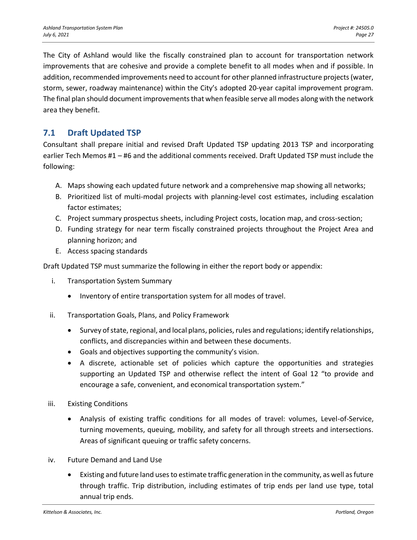The City of Ashland would like the fiscally constrained plan to account for transportation network improvements that are cohesive and provide a complete benefit to all modes when and if possible. In addition, recommended improvements need to account for other planned infrastructure projects (water, storm, sewer, roadway maintenance) within the City's adopted 20‐year capital improvement program. The final plan should document improvements that when feasible serve all modes along with the network area they benefit.

## **7.1 Draft Updated TSP**

Consultant shall prepare initial and revised Draft Updated TSP updating 2013 TSP and incorporating earlier Tech Memos #1 – #6 and the additional comments received. Draft Updated TSP must include the following:

- A. Maps showing each updated future network and a comprehensive map showing all networks;
- B. Prioritized list of multi-modal projects with planning-level cost estimates, including escalation factor estimates;
- C. Project summary prospectus sheets, including Project costs, location map, and cross-section;
- D. Funding strategy for near term fiscally constrained projects throughout the Project Area and planning horizon; and
- E. Access spacing standards

Draft Updated TSP must summarize the following in either the report body or appendix:

- i. Transportation System Summary
	- Inventory of entire transportation system for all modes of travel.
- ii. Transportation Goals, Plans, and Policy Framework
	- Survey of state, regional, and local plans, policies, rules and regulations; identify relationships, conflicts, and discrepancies within and between these documents.
	- Goals and objectives supporting the community's vision.
	- A discrete, actionable set of policies which capture the opportunities and strategies supporting an Updated TSP and otherwise reflect the intent of Goal 12 "to provide and encourage a safe, convenient, and economical transportation system."
- iii. Existing Conditions
	- Analysis of existing traffic conditions for all modes of travel: volumes, Level-of-Service, turning movements, queuing, mobility, and safety for all through streets and intersections. Areas of significant queuing or traffic safety concerns.
- iv. Future Demand and Land Use
	- Existing and future land uses to estimate traffic generation in the community, as well as future through traffic. Trip distribution, including estimates of trip ends per land use type, total annual trip ends.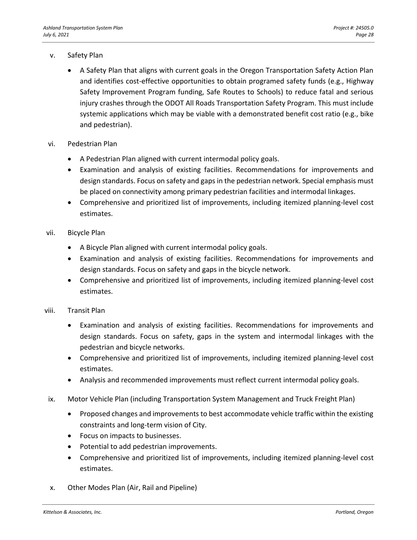#### v. Safety Plan

- A Safety Plan that aligns with current goals in the Oregon Transportation Safety Action Plan and identifies cost-effective opportunities to obtain programed safety funds (e.g., Highway Safety Improvement Program funding, Safe Routes to Schools) to reduce fatal and serious injury crashes through the ODOT All Roads Transportation Safety Program. This must include systemic applications which may be viable with a demonstrated benefit cost ratio (e.g., bike and pedestrian).
- vi. Pedestrian Plan
	- A Pedestrian Plan aligned with current intermodal policy goals.
	- Examination and analysis of existing facilities. Recommendations for improvements and design standards. Focus on safety and gaps in the pedestrian network. Special emphasis must be placed on connectivity among primary pedestrian facilities and intermodal linkages.
	- Comprehensive and prioritized list of improvements, including itemized planning-level cost estimates.

#### vii. Bicycle Plan

- A Bicycle Plan aligned with current intermodal policy goals.
- Examination and analysis of existing facilities. Recommendations for improvements and design standards. Focus on safety and gaps in the bicycle network.
- Comprehensive and prioritized list of improvements, including itemized planning-level cost estimates.

#### viii. Transit Plan

- Examination and analysis of existing facilities. Recommendations for improvements and design standards. Focus on safety, gaps in the system and intermodal linkages with the pedestrian and bicycle networks.
- Comprehensive and prioritized list of improvements, including itemized planning-level cost estimates.
- Analysis and recommended improvements must reflect current intermodal policy goals.
- ix. Motor Vehicle Plan (including Transportation System Management and Truck Freight Plan)
	- Proposed changes and improvements to best accommodate vehicle traffic within the existing constraints and long-term vision of City.
	- Focus on impacts to businesses.
	- Potential to add pedestrian improvements.
	- Comprehensive and prioritized list of improvements, including itemized planning-level cost estimates.
- x. Other Modes Plan (Air, Rail and Pipeline)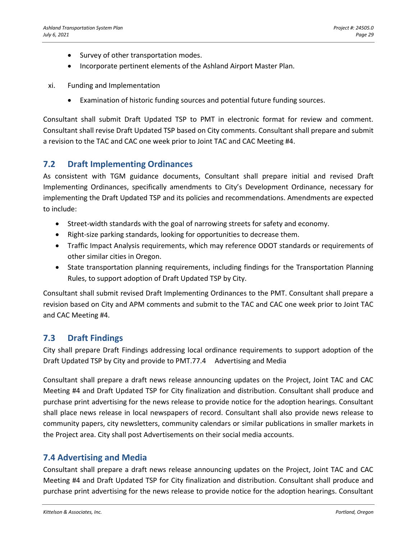- Survey of other transportation modes.
- Incorporate pertinent elements of the Ashland Airport Master Plan.
- xi. Funding and Implementation
	- Examination of historic funding sources and potential future funding sources.

Consultant shall submit Draft Updated TSP to PMT in electronic format for review and comment. Consultant shall revise Draft Updated TSP based on City comments. Consultant shall prepare and submit a revision to the TAC and CAC one week prior to Joint TAC and CAC Meeting #4.

## **7.2 Draft Implementing Ordinances**

As consistent with TGM guidance documents, Consultant shall prepare initial and revised Draft Implementing Ordinances, specifically amendments to City's Development Ordinance, necessary for implementing the Draft Updated TSP and its policies and recommendations. Amendments are expected to include:

- Street-width standards with the goal of narrowing streets for safety and economy.
- Right-size parking standards, looking for opportunities to decrease them.
- Traffic Impact Analysis requirements, which may reference ODOT standards or requirements of other similar cities in Oregon.
- State transportation planning requirements, including findings for the Transportation Planning Rules, to support adoption of Draft Updated TSP by City.

Consultant shall submit revised Draft Implementing Ordinances to the PMT. Consultant shall prepare a revision based on City and APM comments and submit to the TAC and CAC one week prior to Joint TAC and CAC Meeting #4.

## **7.3 Draft Findings**

City shall prepare Draft Findings addressing local ordinance requirements to support adoption of the Draft Updated TSP by City and provide to PMT.77.4 Advertising and Media

Consultant shall prepare a draft news release announcing updates on the Project, Joint TAC and CAC Meeting #4 and Draft Updated TSP for City finalization and distribution. Consultant shall produce and purchase print advertising for the news release to provide notice for the adoption hearings. Consultant shall place news release in local newspapers of record. Consultant shall also provide news release to community papers, city newsletters, community calendars or similar publications in smaller markets in the Project area. City shall post Advertisements on their social media accounts.

## **7.4 Advertising and Media**

Consultant shall prepare a draft news release announcing updates on the Project, Joint TAC and CAC Meeting #4 and Draft Updated TSP for City finalization and distribution. Consultant shall produce and purchase print advertising for the news release to provide notice for the adoption hearings. Consultant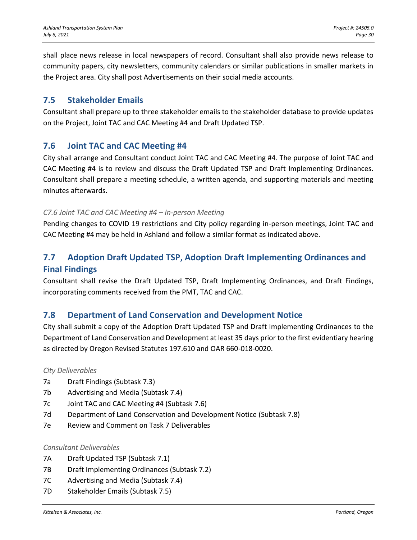shall place news release in local newspapers of record. Consultant shall also provide news release to community papers, city newsletters, community calendars or similar publications in smaller markets in the Project area. City shall post Advertisements on their social media accounts.

## **7.5 Stakeholder Emails**

Consultant shall prepare up to three stakeholder emails to the stakeholder database to provide updates on the Project, Joint TAC and CAC Meeting #4 and Draft Updated TSP.

## **7.6 Joint TAC and CAC Meeting #4**

City shall arrange and Consultant conduct Joint TAC and CAC Meeting #4. The purpose of Joint TAC and CAC Meeting #4 is to review and discuss the Draft Updated TSP and Draft Implementing Ordinances. Consultant shall prepare a meeting schedule, a written agenda, and supporting materials and meeting minutes afterwards.

#### *C7.6 Joint TAC and CAC Meeting #4 – In-person Meeting*

Pending changes to COVID 19 restrictions and City policy regarding in-person meetings, Joint TAC and CAC Meeting #4 may be held in Ashland and follow a similar format as indicated above.

## **7.7 Adoption Draft Updated TSP, Adoption Draft Implementing Ordinances and Final Findings**

Consultant shall revise the Draft Updated TSP, Draft Implementing Ordinances, and Draft Findings, incorporating comments received from the PMT, TAC and CAC.

## **7.8 Department of Land Conservation and Development Notice**

City shall submit a copy of the Adoption Draft Updated TSP and Draft Implementing Ordinances to the Department of Land Conservation and Development at least 35 days prior to the first evidentiary hearing as directed by Oregon Revised Statutes 197.610 and OAR 660-018-0020.

#### *City Deliverables*

- 7a Draft Findings (Subtask 7.3)
- 7b Advertising and Media (Subtask 7.4)
- 7c Joint TAC and CAC Meeting #4 (Subtask 7.6)
- 7d Department of Land Conservation and Development Notice (Subtask 7.8)
- 7e Review and Comment on Task 7 Deliverables

#### *Consultant Deliverables*

- 7A Draft Updated TSP (Subtask 7.1)
- 7B Draft Implementing Ordinances (Subtask 7.2)
- 7C Advertising and Media (Subtask 7.4)
- 7D Stakeholder Emails (Subtask 7.5)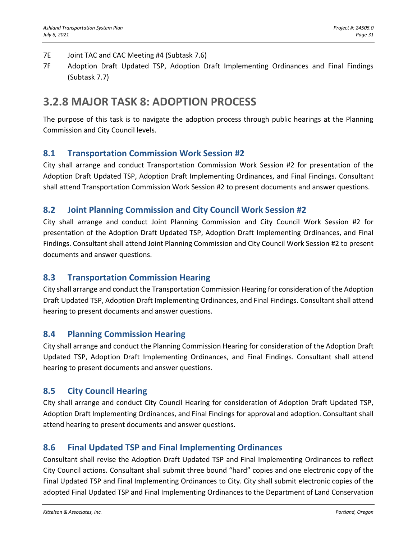- 7E Joint TAC and CAC Meeting #4 (Subtask 7.6)
- 7F Adoption Draft Updated TSP, Adoption Draft Implementing Ordinances and Final Findings (Subtask 7.7)

## **3.2.8 MAJOR TASK 8: ADOPTION PROCESS**

The purpose of this task is to navigate the adoption process through public hearings at the Planning Commission and City Council levels.

## **8.1 Transportation Commission Work Session #2**

City shall arrange and conduct Transportation Commission Work Session #2 for presentation of the Adoption Draft Updated TSP, Adoption Draft Implementing Ordinances, and Final Findings. Consultant shall attend Transportation Commission Work Session #2 to present documents and answer questions.

## **8.2 Joint Planning Commission and City Council Work Session #2**

City shall arrange and conduct Joint Planning Commission and City Council Work Session #2 for presentation of the Adoption Draft Updated TSP, Adoption Draft Implementing Ordinances, and Final Findings. Consultant shall attend Joint Planning Commission and City Council Work Session #2 to present documents and answer questions.

## **8.3 Transportation Commission Hearing**

City shall arrange and conduct the Transportation Commission Hearing for consideration of the Adoption Draft Updated TSP, Adoption Draft Implementing Ordinances, and Final Findings. Consultant shall attend hearing to present documents and answer questions.

## **8.4 Planning Commission Hearing**

City shall arrange and conduct the Planning Commission Hearing for consideration of the Adoption Draft Updated TSP, Adoption Draft Implementing Ordinances, and Final Findings. Consultant shall attend hearing to present documents and answer questions.

## **8.5 City Council Hearing**

City shall arrange and conduct City Council Hearing for consideration of Adoption Draft Updated TSP, Adoption Draft Implementing Ordinances, and Final Findings for approval and adoption. Consultant shall attend hearing to present documents and answer questions.

## **8.6 Final Updated TSP and Final Implementing Ordinances**

Consultant shall revise the Adoption Draft Updated TSP and Final Implementing Ordinances to reflect City Council actions. Consultant shall submit three bound "hard" copies and one electronic copy of the Final Updated TSP and Final Implementing Ordinances to City. City shall submit electronic copies of the adopted Final Updated TSP and Final Implementing Ordinances to the Department of Land Conservation